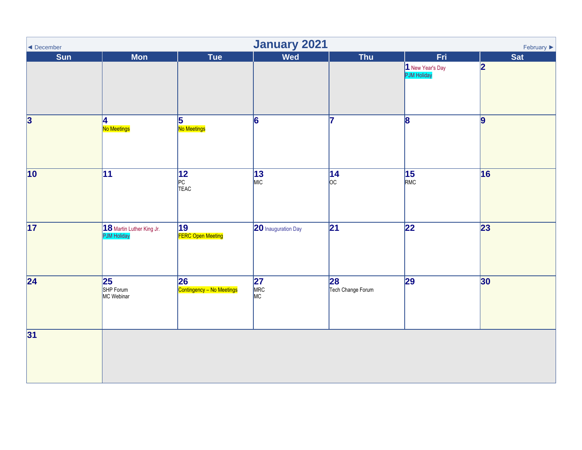<span id="page-0-0"></span>

| ◀ December              | <b>January 2021</b><br>February $\blacktriangleright$ |                                              |                         |                                    |                               |                 |  |  |  |  |
|-------------------------|-------------------------------------------------------|----------------------------------------------|-------------------------|------------------------------------|-------------------------------|-----------------|--|--|--|--|
| <b>Sun</b>              | <b>Mon</b>                                            | Tue                                          | <b>Wed</b>              | Thu                                | <b>Fri</b>                    | <b>Sat</b>      |  |  |  |  |
|                         |                                                       |                                              |                         |                                    | New Year's Day<br>PJM Holiday | 2               |  |  |  |  |
| $\overline{\mathbf{3}}$ | 4<br>No Meetings                                      | $\overline{5}$<br>No Meetings                | $\overline{6}$          | 7                                  | $\overline{\mathbf{8}}$       | 9               |  |  |  |  |
| 10                      | $\overline{11}$                                       | $\overline{12}$<br>PC<br>TEAC                | $\frac{13}{\text{MIC}}$ | $\overline{14}$<br>$ _{\text{OC}}$ | $\overline{15}$<br>RMC        | 16              |  |  |  |  |
| 17                      | 18 Martin Luther King Jr.                             | 19<br>FERC Open Meeting                      | 20 Inauguration Day     | $\overline{21}$                    | $\overline{22}$               | $\overline{23}$ |  |  |  |  |
| $\overline{24}$         | 25<br>SHP Forum<br>MC Webinar                         | $\overline{26}$<br>Contingency - No Meetings | <b>27</b><br>MRC<br>MC  | 28<br>Tech Change Forum            | 29                            | 30              |  |  |  |  |
| 31                      |                                                       |                                              |                         |                                    |                               |                 |  |  |  |  |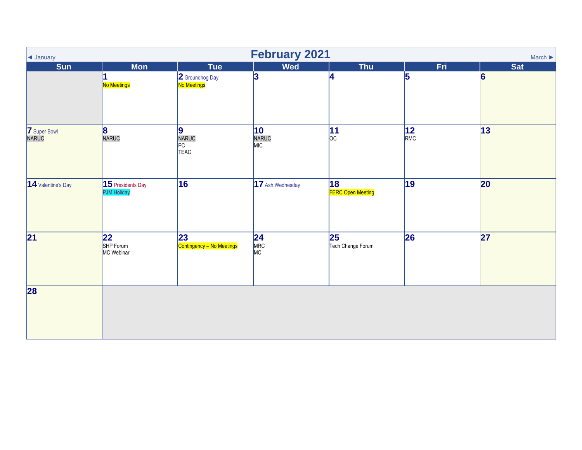| I January                    | <b>February 2021</b><br>March $\blacktriangleright$ |                                 |                         |                                               |                        |                 |  |  |  |  |
|------------------------------|-----------------------------------------------------|---------------------------------|-------------------------|-----------------------------------------------|------------------------|-----------------|--|--|--|--|
| <b>Sun</b>                   | <b>Mon</b>                                          | <b>Tue</b>                      | <b>Wed</b>              | <b>Thu</b>                                    | Fri                    | <b>Sat</b>      |  |  |  |  |
|                              | 1<br>No Meetings                                    | 2 Groundhog Day<br>No Meetings  | 3                       |                                               | 5                      | $\vert 6 \vert$ |  |  |  |  |
| <b>7</b> Super Bowl<br>NARUC | 8<br>NARUC                                          | 9 <br>NARUC<br>PC<br>TEAC       | 10<br>NARUC<br>MIC      | $\overline{11}$<br>$ _{\text{OC}}$            | $\overline{12}$<br>RMC | $\overline{13}$ |  |  |  |  |
| 14 Valentine's Day           | 15 Presidents Day<br><b>PJM Holiday</b>             | 16                              | 17 Ash Wednesday        | $\overline{18}$<br><b>FERC Open Meeting</b>   | $\overline{19}$        | 20              |  |  |  |  |
| $\overline{21}$              | 22<br>SHP Forum<br>MC Webinar                       | 23<br>Contingency - No Meetings | $\frac{24}{\text{MRC}}$ | $\overline{\mathbf{25}}$<br>Tech Change Forum | 26                     | 27              |  |  |  |  |
| 28                           |                                                     |                                 |                         |                                               |                        |                 |  |  |  |  |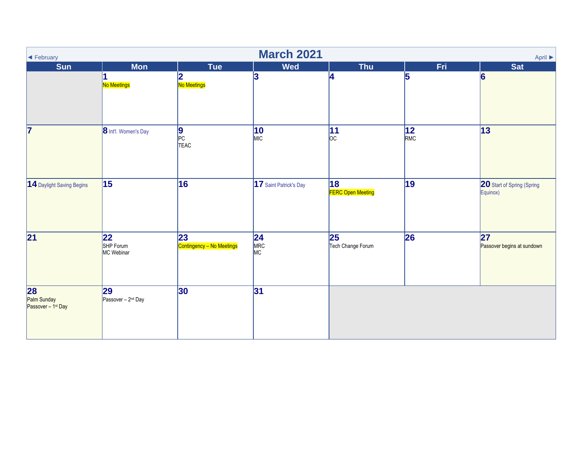| ← February                                          | <b>March 2021</b><br>April $\blacktriangleright$ |                                  |                        |                                               |                        |                                        |  |  |  |  |
|-----------------------------------------------------|--------------------------------------------------|----------------------------------|------------------------|-----------------------------------------------|------------------------|----------------------------------------|--|--|--|--|
| <b>Sun</b>                                          | <b>Mon</b>                                       | <b>Tue</b>                       | <b>Wed</b>             | <b>Thu</b>                                    | Fri                    | <b>Sat</b>                             |  |  |  |  |
|                                                     | No Meetings                                      | 2<br>No Meetings                 | 3                      |                                               | 5                      | $\vert 6 \vert$                        |  |  |  |  |
| 7                                                   | 8 Int'l. Women's Day                             | 9<br>PC<br>TEAC                  | $ 10\rangle$<br>MIC    | $\overline{11}$<br>$ _{\rm OC} $              | $\overline{12}$<br>RMC | 13                                     |  |  |  |  |
| 14 Daylight Saving Begins                           | $\overline{15}$                                  | 16                               | 17 Saint Patrick's Day | 18<br><b>FERC Open Meeting</b>                | 19                     | 20 Start of Spring (Spring<br>Equinox) |  |  |  |  |
| 21                                                  | $\overline{22}$<br>SHP Forum<br>MC Webinar       | 23 <br>Contingency - No Meetings | $24$<br>MRC<br>MC      | $\overline{\mathbf{25}}$<br>Tech Change Forum | 26                     | 27 <br>Passover begins at sundown      |  |  |  |  |
| 28<br>Palm Sunday<br>Passover – 1 <sup>st</sup> Day | 29<br>Passover - 2 <sup>nd</sup> Day             | 30                               | 31                     |                                               |                        |                                        |  |  |  |  |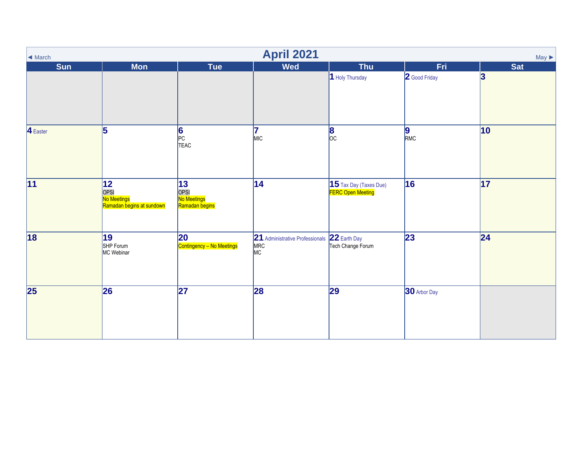| $\blacktriangleleft$ March | <b>April 2021</b><br>$May \triangleright$                                                                                                                                                                                                   |                                                                             |                                              |                                                            |                        |                  |  |  |  |  |
|----------------------------|---------------------------------------------------------------------------------------------------------------------------------------------------------------------------------------------------------------------------------------------|-----------------------------------------------------------------------------|----------------------------------------------|------------------------------------------------------------|------------------------|------------------|--|--|--|--|
| <b>Sun</b>                 | <b>Mon</b>                                                                                                                                                                                                                                  | <b>Tue</b>                                                                  | <b>Wed</b>                                   | <b>Thu</b>                                                 | Fri                    | <b>Sat</b>       |  |  |  |  |
|                            |                                                                                                                                                                                                                                             |                                                                             |                                              | 1 Holy Thursday                                            | 2 Good Friday          | $\boldsymbol{3}$ |  |  |  |  |
| 4 Easter                   | 5                                                                                                                                                                                                                                           | 6<br>PC<br>TEAC                                                             | 17<br>MIC                                    | $\frac{8}{\text{oc}}$                                      | $\vert 9 \vert$<br>RMC | 10               |  |  |  |  |
| $\overline{11}$            | 12 <br><b>CONTRACT CONTRACT CONTRACT CONTRACT CONTRACT CONTRACT CONTRACT CONTRACT CONTRACT CONTRACT CONTRACT CONTRACT CONTRACT CONTRACT CONTRACT CONTRACT CONTRACT CONTRACT CONTRACT CONTRACT CONTRACT CONTRACT CONTRACT CONTRACT CONTR</b> | 13 <br>-<br>OPSI<br><mark>No Meetings</mark><br><mark>Ramadan begins</mark> | 14                                           | $\vert$ 15 Tax Day (Taxes Due)<br><b>FERC Open Meeting</b> | 16                     | $\overline{17}$  |  |  |  |  |
| 18                         | 19<br>SHP Forum<br>MC Webinar                                                                                                                                                                                                               | 20<br>Contingency - No Meetings                                             | 21 Administrative Professionals<br>MRC<br>MC | 22 Earth Day<br>Tech Change Forum                          | 23                     | 24               |  |  |  |  |
| $\overline{25}$            | 26                                                                                                                                                                                                                                          | $\overline{27}$                                                             | 28                                           | $\overline{29}$                                            | 30 Arbor Day           |                  |  |  |  |  |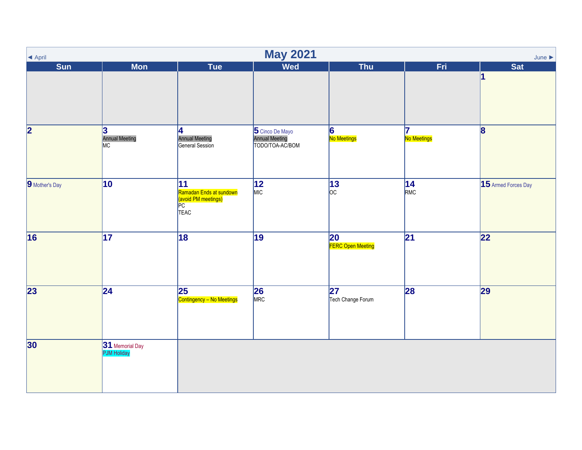| ▲ April                 |                                       |                                                                    | <b>May 2021</b>                                      |                                      |                   | June $\blacktriangleright$ |
|-------------------------|---------------------------------------|--------------------------------------------------------------------|------------------------------------------------------|--------------------------------------|-------------------|----------------------------|
| <b>Sun</b>              | <b>Mon</b>                            | <b>Tue</b>                                                         | <b>Wed</b>                                           | <b>Thu</b>                           | Fri               | <b>Sat</b>                 |
|                         |                                       |                                                                    |                                                      |                                      |                   | 1                          |
| $\overline{\mathbf{2}}$ | 3<br><b>Annual Meeting</b><br>MC      | <b>4</b><br><b>Annual Meeting</b><br>General Session               | 5 Cinco De Mayo<br>Annual Meeting<br>TODO/TOA-AC/BOM | 6<br>No Meetings                     | 17<br>No Meetings | $\overline{\mathbf{8}}$    |
| 9 Mother's Day          | $\overline{10}$                       | 11<br>Ramadan Ends at sundown<br>(avoid PM meetings)<br>PC<br>TEAC | $\overline{12}$<br>MIC                               | $\frac{13}{\text{oc}}$               | $14$<br>RMC       | 15 Armed Forces Day        |
| 16                      | $\overline{17}$                       | 18                                                                 | $\overline{19}$                                      | 20<br>FERC Open Meeting              | $\overline{21}$   | 22                         |
| $\overline{23}$         | $\overline{24}$                       | $\overline{25}$<br>Contingency - No Meetings                       | $\frac{26}{\text{MRC}}$                              | $\overline{27}$<br>Tech Change Forum | 28                | 29                         |
| 30                      | 31 Memorial Day<br><b>PJM Holiday</b> |                                                                    |                                                      |                                      |                   |                            |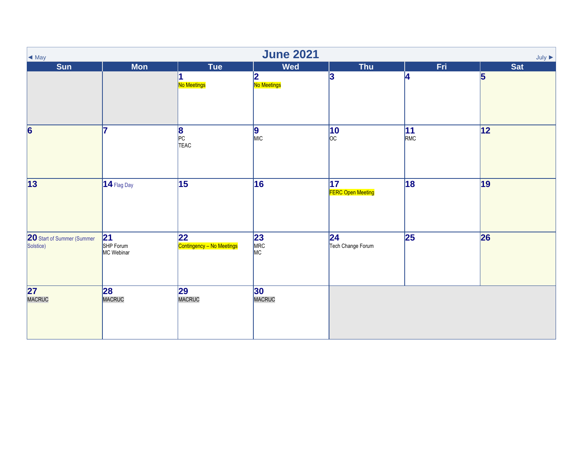| $\blacktriangleleft$ May                | <b>June 2021</b><br>July $\blacktriangleright$ |                                  |                               |                                             |                        |                 |  |  |  |  |
|-----------------------------------------|------------------------------------------------|----------------------------------|-------------------------------|---------------------------------------------|------------------------|-----------------|--|--|--|--|
| <b>Sun</b>                              | <b>Mon</b>                                     | <b>Tue</b>                       | <b>Wed</b>                    | <b>Thu</b>                                  | Fri                    | <b>Sat</b>      |  |  |  |  |
|                                         |                                                | No Meetings                      | 2<br>No Meetings              | 3                                           | 4                      | 5               |  |  |  |  |
| $\overline{\mathbf{6}}$                 | 17                                             | 8<br>PC<br>TEAC                  | $\sqrt{\frac{9}{MIC}}$        | $\overline{10}$<br>$ _{\rm OC} $            | $\overline{11}$<br>RMC | $\overline{12}$ |  |  |  |  |
| 13                                      | $14$ Flag Day                                  | $\overline{15}$                  | 16                            | $\overline{17}$<br><b>FERC Open Meeting</b> | 18                     | 19              |  |  |  |  |
| 20 Start of Summer (Summer<br>Solstice) | 21<br>SHP Forum<br>MC Webinar                  | 22 <br>Contingency - No Meetings | $\frac{23}{\text{MRC}}$<br>MC | $\overline{24}$<br>Tech Change Forum        | $\overline{25}$        | 26              |  |  |  |  |
| 27<br>MACRUC                            | 28<br>MACRUC                                   | 29<br>MACRUC                     | 30<br>MACRUC                  |                                             |                        |                 |  |  |  |  |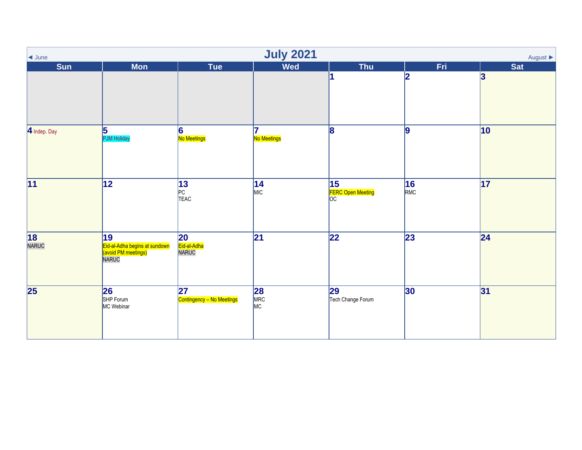| $\overline{\phantom{a}}$ June | <b>July 2021</b><br>August $\blacktriangleright$                    |                                   |                        |                                      |                 |                 |  |  |  |  |
|-------------------------------|---------------------------------------------------------------------|-----------------------------------|------------------------|--------------------------------------|-----------------|-----------------|--|--|--|--|
| <b>Sun</b>                    | <b>Mon</b>                                                          | Tue                               | <b>Wed</b>             | <b>Thu</b>                           | Fri.            | <b>Sat</b>      |  |  |  |  |
|                               |                                                                     |                                   |                        |                                      | 12              | 3               |  |  |  |  |
| 4 Indep. Day                  | $\overline{\mathbf{5}}$<br><b>PJM Holiday</b>                       | 6 <br>No Meetings                 | 17<br>No Meetings      | 8                                    | 9               | $ 10\rangle$    |  |  |  |  |
| $\overline{11}$               | 12                                                                  | 13<br>PC<br>TEAC                  | $14$<br>MIC            | $\overline{15}$<br>FERC Open Meeting | 16<br>RMC       | $\overline{17}$ |  |  |  |  |
| 18<br>NARUC                   | 19<br>Eid-al-Adha begins at sundown<br>(avoid PM meetings)<br>NARUC | 20<br>Eid-al-Adha<br><b>NARUC</b> | $\overline{21}$        | $\overline{22}$                      | $\overline{23}$ | 24              |  |  |  |  |
| $\overline{\mathbf{25}}$      | 26<br>SHP Forum<br>MC Webinar                                       | 27<br>Contingency - No Meetings   | <b>28</b><br>MRC<br>MC | 29<br>Tech Change Forum              | 30              | 31              |  |  |  |  |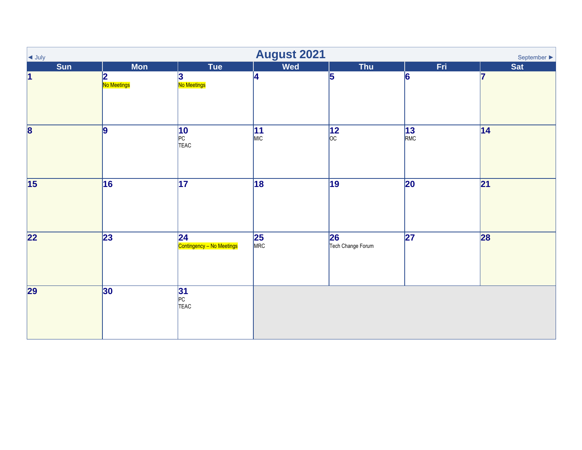| $\overline{\phantom{a}}$ July | <b>August 2021</b><br>September $\blacktriangleright$ |                                  |                         |                           |                 |                 |  |  |  |  |
|-------------------------------|-------------------------------------------------------|----------------------------------|-------------------------|---------------------------|-----------------|-----------------|--|--|--|--|
| <b>Sun</b>                    | <b>Mon</b>                                            | Tue                              | <b>Wed</b>              | <b>Thu</b>                | Fri             | <b>Sat</b>      |  |  |  |  |
| $\vert$ 1                     | 2<br>No Meetings                                      | 3<br>No Meetings                 | $\overline{4}$          | 5                         | 6               | 17              |  |  |  |  |
| $\overline{\mathbf{8}}$       | $\overline{9}$                                        | 10<br>PC<br>TEAC                 | $\frac{11}{MIC}$        | $\sqrt{12}$ <sub>oc</sub> | $13$<br>RMC     | 14              |  |  |  |  |
| $\overline{15}$               | 16                                                    | $\overline{17}$                  | 18                      | $\overline{19}$           | $\overline{20}$ | $\overline{21}$ |  |  |  |  |
| 22                            | 23                                                    | 24 <br>Contingency - No Meetings | $\frac{25}{\text{MRC}}$ | 26<br>Tech Change Forum   | $\overline{27}$ | 28              |  |  |  |  |
| 29                            | 30                                                    | 31<br>PC<br>TEAC                 |                         |                           |                 |                 |  |  |  |  |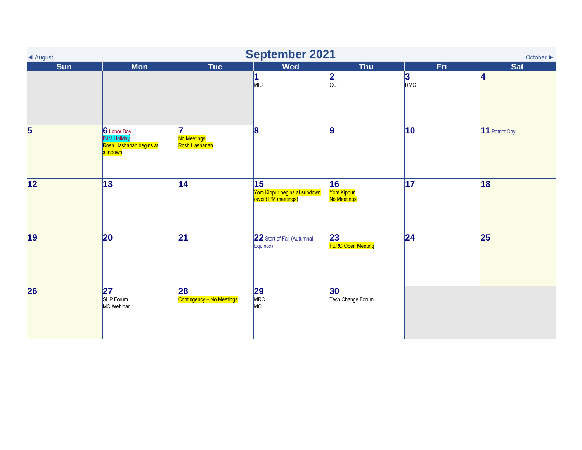| ◀ August                | <b>September 2021</b><br>October $\blacktriangleright$                  |                                 |                                                           |                                              |                 |                |  |  |  |  |
|-------------------------|-------------------------------------------------------------------------|---------------------------------|-----------------------------------------------------------|----------------------------------------------|-----------------|----------------|--|--|--|--|
| <b>Sun</b>              | <b>Mon</b>                                                              | <b>Tue</b>                      | <b>Wed</b>                                                | <b>Thu</b>                                   | Fri.            | <b>Sat</b>     |  |  |  |  |
|                         |                                                                         |                                 | 1<br>MIC                                                  | $\frac{2}{\infty}$                           | $\frac{3}{RMC}$ | 4              |  |  |  |  |
| $\overline{\mathbf{5}}$ | 6 Labor Day<br><b>PJM Holiday</b><br>Rosh Hashanah begins at<br>sundown | No Meetings<br>Rosh Hashanah    | 8                                                         | 9                                            | $ 10\rangle$    | 11 Patriot Day |  |  |  |  |
| $\overline{12}$         | $\overline{13}$                                                         | 14                              | 15<br>Yom Kippur begins at sundown<br>(avoid PM meetings) | $\overline{16}$<br>Yom Kippur<br>No Meetings | $\overline{17}$ | 18             |  |  |  |  |
| 19                      | 20                                                                      | 21                              | 22 Start of Fall (Autumnal<br>Equinox)                    | 23<br><b>FERC Open Meeting</b>               | 24              | 25             |  |  |  |  |
| 26                      | $\overline{27}$<br>SHP Forum<br>MC Webinar                              | 28<br>Contingency - No Meetings | $29$<br>$MRC$<br>MC                                       | 30<br>Tech Change Forum                      |                 |                |  |  |  |  |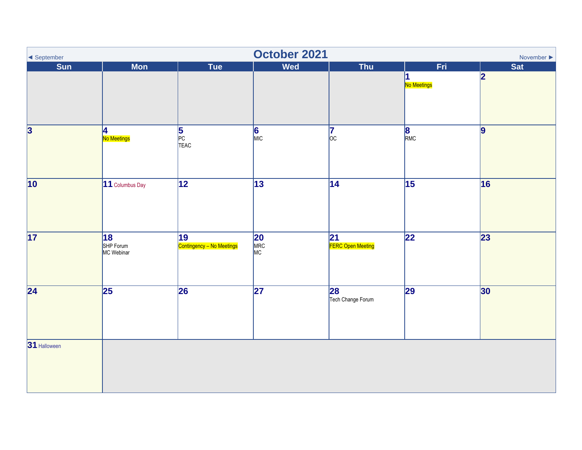| September               | October 2021<br>November $\blacktriangleright$ |                                 |                        |                         |                             |            |  |  |
|-------------------------|------------------------------------------------|---------------------------------|------------------------|-------------------------|-----------------------------|------------|--|--|
| Sun                     | <b>Mon</b>                                     | Tue                             | <b>Wed</b>             | Thu                     | Fri.<br>1<br>No Meetings    | Sat<br> 2  |  |  |
| $\overline{\mathbf{3}}$ | 4<br>No Meetings                               | 5<br>PC<br>TEAC                 | $\sqrt{\frac{6}{MIC}}$ | 17<br>$ _{\rm OC}$      | $\overline{\text{B}_{RMC}}$ | $\vert 9$  |  |  |
| 10                      | 11 Columbus Day                                | $\overline{12}$                 | $\overline{13}$        | $\overline{14}$         | $\overline{15}$             | 16         |  |  |
| 17                      | 18<br>SHP Forum<br>MC Webinar                  | 19<br>Contingency – No Meetings | <b>20</b><br>MRC<br>MC | 21<br>FERC Open Meeting | $\overline{22}$             | $\vert$ 23 |  |  |
| $\overline{24}$         | $\overline{25}$                                | 26                              | $\overline{27}$        | 28<br>Tech Change Forum | 29                          | 30         |  |  |
| 31 Halloween            |                                                |                                 |                        |                         |                             |            |  |  |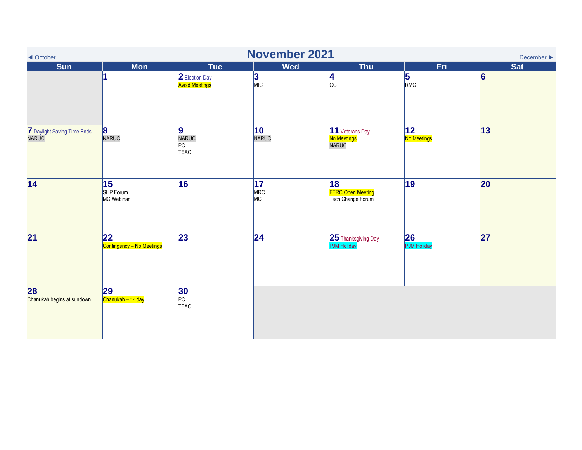| ◀ October                            | <b>November 2021</b><br>December $\blacktriangleright$ |                                         |                              |                                                                  |                    |            |  |  |  |  |
|--------------------------------------|--------------------------------------------------------|-----------------------------------------|------------------------------|------------------------------------------------------------------|--------------------|------------|--|--|--|--|
| <b>Sun</b>                           | <b>Mon</b>                                             | <b>Tue</b>                              | <b>Wed</b>                   | <b>Thu</b>                                                       | Fri.               | <b>Sat</b> |  |  |  |  |
|                                      |                                                        | 2 Election Day<br><b>Avoid Meetings</b> | 3 <br>MIC                    | $\frac{4}{\text{oc}}$                                            | $\frac{5}{RMC}$    | 6          |  |  |  |  |
| 7 Daylight Saving Time Ends<br>NARUC | 8<br>NARUC                                             | 9 <br>NARUC<br>PC<br>TEAC               | $ 10\rangle$<br>NARUC        | 11 Veterans Day<br>No Meetings<br><b>NARUC</b>                   | 12 <br>No Meetings | 13         |  |  |  |  |
| $\overline{14}$                      | $\overline{15}$<br>SHP Forum<br>MC Webinar             | $\overline{16}$                         | $\overline{17}$<br>MRC<br>MC | $\overline{18}$<br><b>FERC Open Meeting</b><br>Tech Change Forum | 19                 | 20         |  |  |  |  |
| $\overline{21}$                      | 22<br>Contingency - No Meetings                        | 23                                      | 24                           | 25 Thanksgiving Day<br><b>PJM Holiday</b>                        | 26<br>PJM Holiday  | 27         |  |  |  |  |
| 28<br>Chanukah begins at sundown     | 29<br>Chanukah - 1 <sup>st</sup> day                   | <b>30</b><br>PC<br>TEAC                 |                              |                                                                  |                    |            |  |  |  |  |